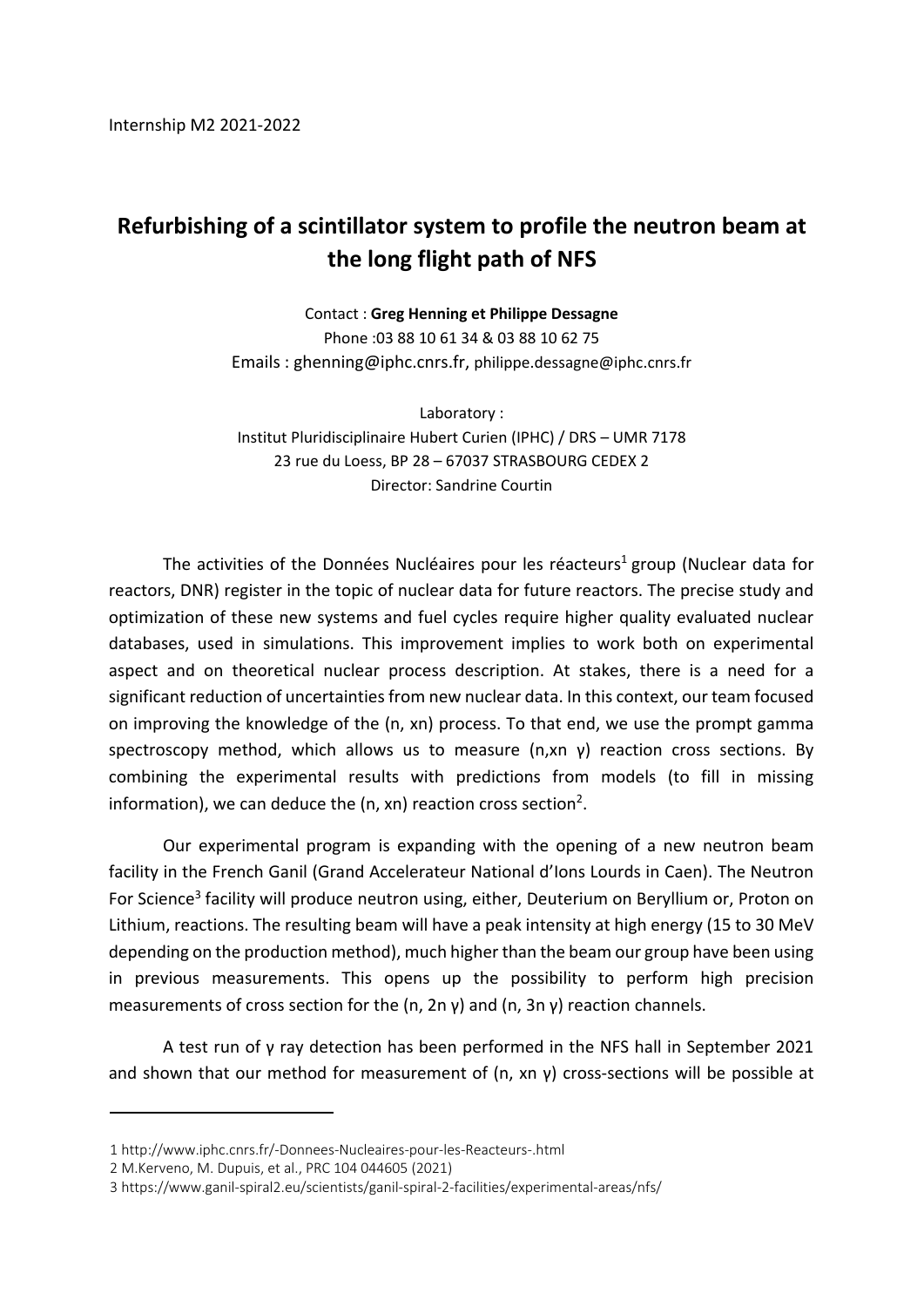## **Refurbishing of a scintillator system to profile the neutron beam at the long flight path of NFS**

Contact : **Greg Henning et Philippe Dessagne** Phone :03 88 10 61 34 & 03 88 10 62 75 Emails : ghenning@iphc.cnrs.fr, philippe.dessagne@iphc.cnrs.fr

Laboratory : Institut Pluridisciplinaire Hubert Curien (IPHC) / DRS – UMR 7178 23 rue du Loess, BP 28 – 67037 STRASBOURG CEDEX 2 Director: Sandrine Courtin

The activities of the Données Nucléaires pour les réacteurs<sup>1</sup> group (Nuclear data for reactors, DNR) register in the topic of nuclear data for future reactors. The precise study and optimization of these new systems and fuel cycles require higher quality evaluated nuclear databases, used in simulations. This improvement implies to work both on experimental aspect and on theoretical nuclear process description. At stakes, there is a need for a significant reduction of uncertainties from new nuclear data. In this context, our team focused on improving the knowledge of the (n, xn) process. To that end, we use the prompt gamma spectroscopy method, which allows us to measure (n,xn  $y$ ) reaction cross sections. By combining the experimental results with predictions from models (to fill in missing information), we can deduce the (n, xn) reaction cross section<sup>2</sup>.

Our experimental program is expanding with the opening of a new neutron beam facility in the French Ganil (Grand Accelerateur National d'Ions Lourds in Caen). The Neutron For Science<sup>3</sup> facility will produce neutron using, either, Deuterium on Beryllium or, Proton on Lithium, reactions. The resulting beam will have a peak intensity at high energy (15 to 30 MeV depending on the production method), much higher than the beam our group have been using in previous measurements. This opens up the possibility to perform high precision measurements of cross section for the (n, 2n  $\gamma$ ) and (n, 3n  $\gamma$ ) reaction channels.

A test run of γ ray detection has been performed in the NFS hall in September 2021 and shown that our method for measurement of  $(n, xn, γ)$  cross-sections will be possible at

2 M.Kerveno, M. Dupuis, et al., PRC 104 044605 (2021)

<sup>1</sup> http://www.iphc.cnrs.fr/-Donnees-Nucleaires-pour-les-Reacteurs-.html

<sup>3</sup> https://www.ganil-spiral2.eu/scientists/ganil-spiral-2-facilities/experimental-areas/nfs/